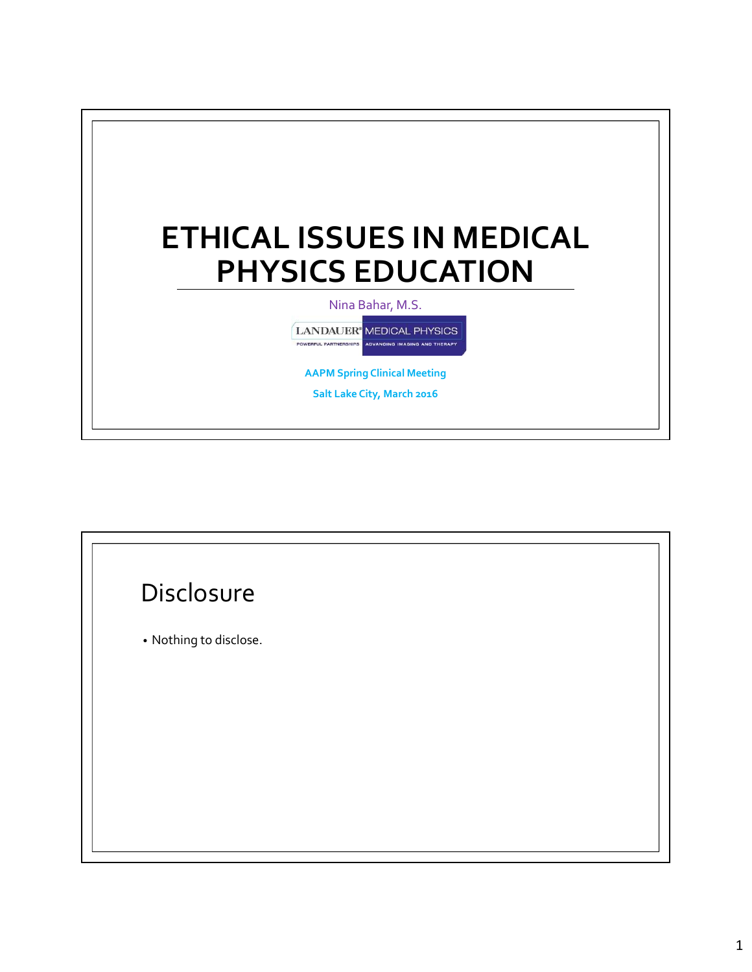

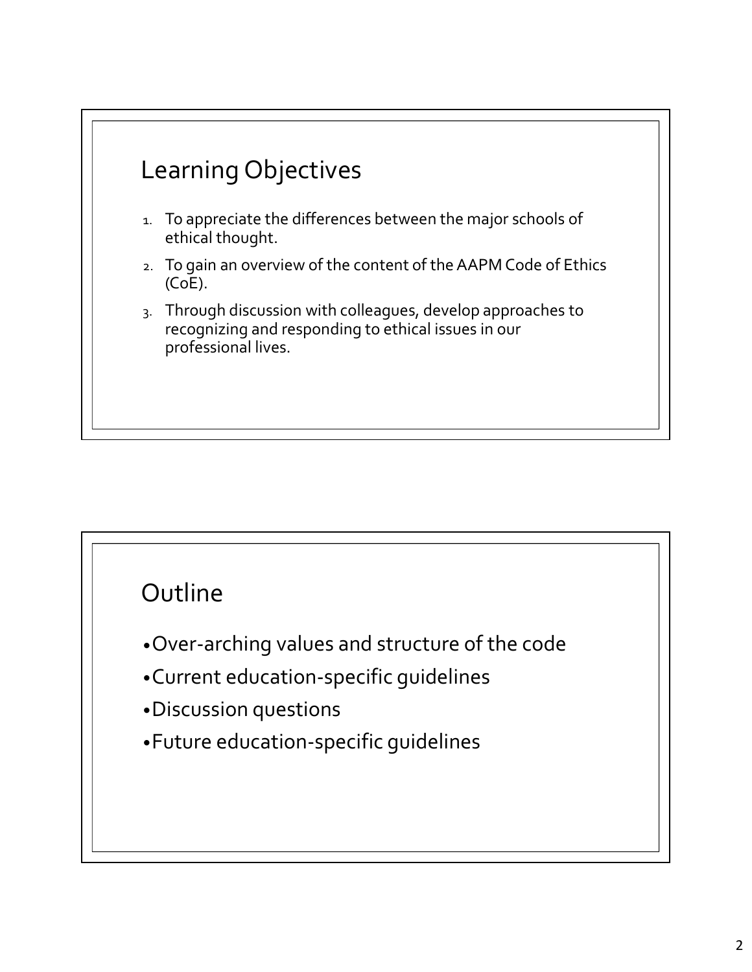

### Outline

- •Over-arching values and structure of the code
- •Current education-specific guidelines
- •Discussion questions
- •Future education-specific guidelines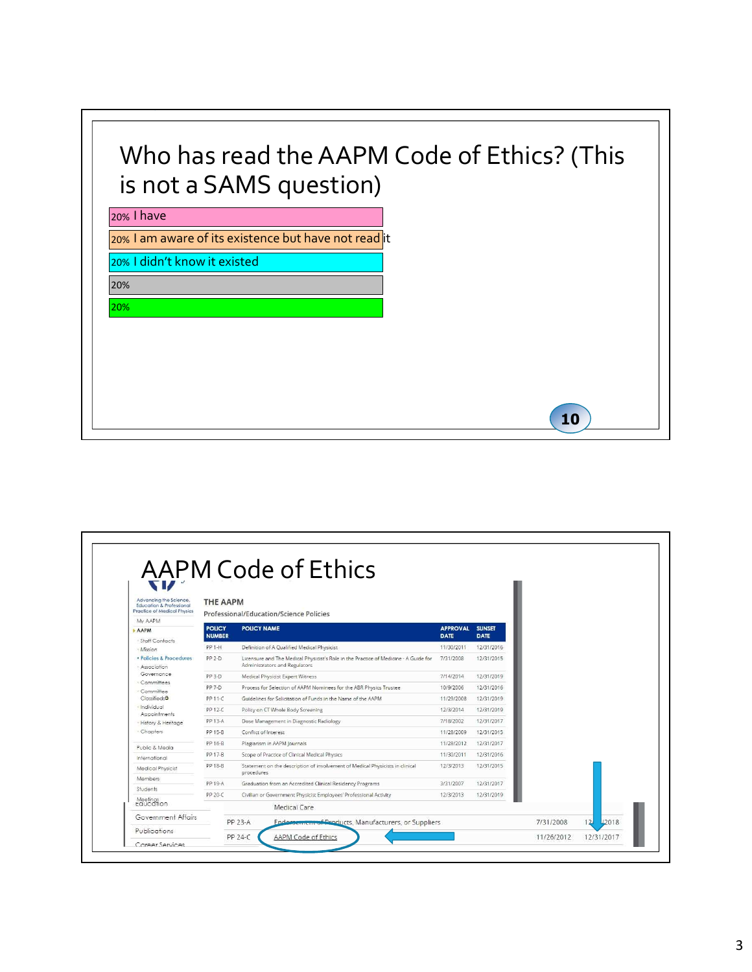# Who has read the AAPM Code of Ethics? (This is not a SAMS question)

#### 20% I have

#### 20% I am aware of its existence but have not read it

20% I didn't know it existed

20%

### 20%

| Advancing the Science.<br><b>Education &amp; Professional</b><br><b>Practice of Medical Physics</b> | <b>THE AAPM</b>                | Professional/Education/Science Policies                                                                               |                                |                       |           |                     |
|-----------------------------------------------------------------------------------------------------|--------------------------------|-----------------------------------------------------------------------------------------------------------------------|--------------------------------|-----------------------|-----------|---------------------|
| My AAPM                                                                                             |                                |                                                                                                                       |                                |                       |           |                     |
| <b>AAPM</b>                                                                                         | <b>POLICY</b><br><b>NUMBER</b> | <b>POLICY NAME</b>                                                                                                    | <b>APPROVAL</b><br><b>DATE</b> | <b>SUNSET</b><br>DATE |           |                     |
| Staff Contacts<br>Mission                                                                           | PP 1-H                         | Definition of A Qualified Medical Physicist                                                                           | 11/30/2011                     | 12/31/2016            |           |                     |
| · Policies & Procedures<br>Association                                                              | PP 2-D                         | Licensure and The Medical Physicist's Role in the Practice of Medicine - A Guide for<br>Administrators and Regulators | 7/31/2008                      | 12/31/2015            |           |                     |
| Governance                                                                                          | PP 3-D                         | Medical Physicist Expert Witness                                                                                      | 7/14/2014                      | 12/31/2019            |           |                     |
| Committees<br>Committee                                                                             | PP 7-D                         | Process for Selection of AAPM Nominees for the ABR Physics Trustee                                                    | 10/9/2006                      | 12/31/2016            |           |                     |
| $Classified$ <b>a</b>                                                                               | PP 11-C                        | Guidelines for Solicitation of Funds in the Name of the AAPM                                                          | 11/29/2008                     | 12/31/2019            |           |                     |
| Individual<br>Appointments                                                                          | PP 12-C                        | Policy on CT Whole Body Screening                                                                                     | 12/3/2014                      | 12/31/2019            |           |                     |
| History & Heritage                                                                                  | PP 13-A                        | Dose Management in Diagnostic Radiology                                                                               | 7/18/2002                      | 12/31/2017            |           |                     |
| - Chapters                                                                                          | PP 15-B                        | Conflict of Interest                                                                                                  | 11/28/2009                     | 12/31/2015            |           |                     |
| Public & Media                                                                                      | PP 16-B                        | Plagiarism in AAPM lournals                                                                                           | 11/28/2012                     | 12/31/2017            |           |                     |
| International                                                                                       | PP 17-B                        | Scope of Practice of Clinical Medical Physics                                                                         | 11/30/2011                     | 12/31/2016            |           |                     |
| Medical Physicist                                                                                   | PP 18-B                        | Statement on the description of involvement of Medical Physicists in clinical<br>procedures                           | 12/3/2013                      | 12/31/2015            |           |                     |
| Members.                                                                                            | PP 19-A                        | Graduation from an Accredited Clinical Residency Programs                                                             | 3/31/2007                      | 12/31/2017            |           |                     |
| Students                                                                                            | PP 20-C                        | Civilian or Government Physicist Employees' Professional Activity                                                     | 12/3/2013                      | 12/31/2019            |           |                     |
| Meetings<br>caucation                                                                               |                                | Medical Care                                                                                                          |                                |                       |           |                     |
| Government Affairs                                                                                  |                                | PP 23-A<br>Endorsement of Broducts, Manufacturers, or Suppliers                                                       |                                |                       | 7/31/2008 | <b>IZ018</b><br>121 |

10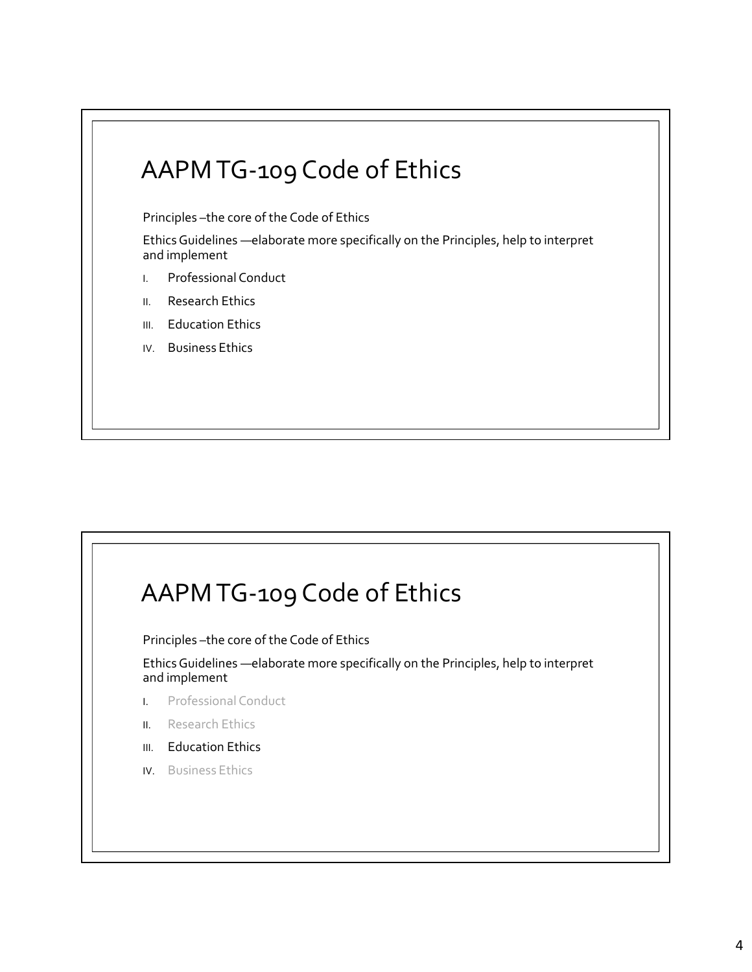## AAPM TG-109 Code of Ethics

Principles –the core of the Code of Ethics

Ethics Guidelines —elaborate more specifically on the Principles, help to interpret and implement

- I. Professional Conduct
- II. Research Ethics
- III. Education Ethics
- IV. Business Ethics

## AAPM TG-109 Code of Ethics

Principles –the core of the Code of Ethics

Ethics Guidelines —elaborate more specifically on the Principles, help to interpret and implement

- I. Professional Conduct
- II. Research Ethics
- III. Education Ethics
- IV. Business Ethics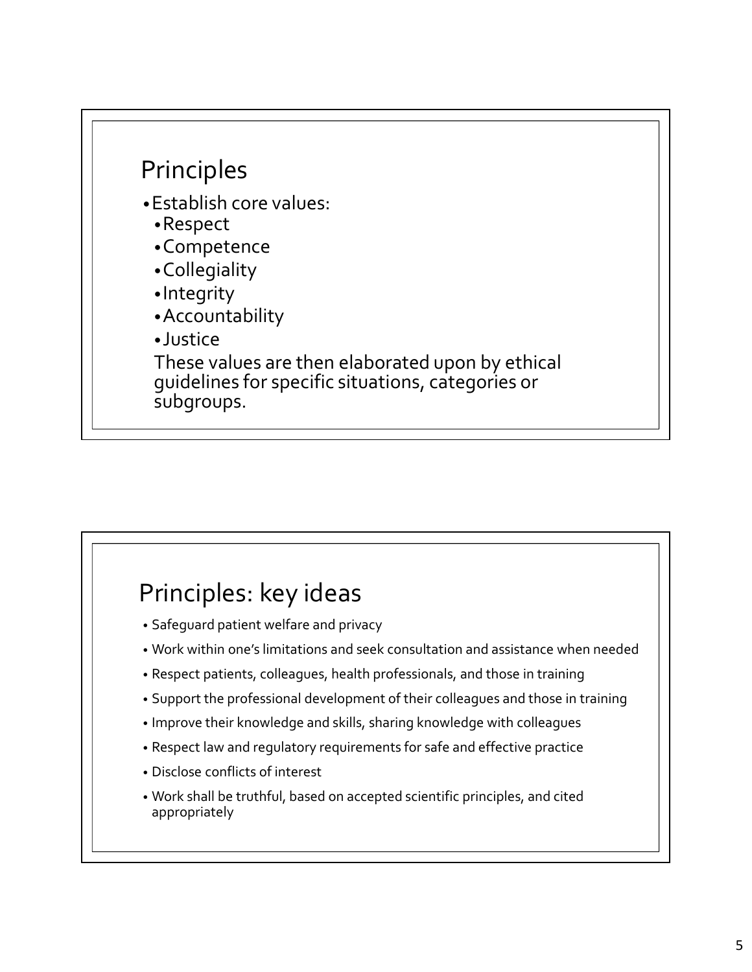

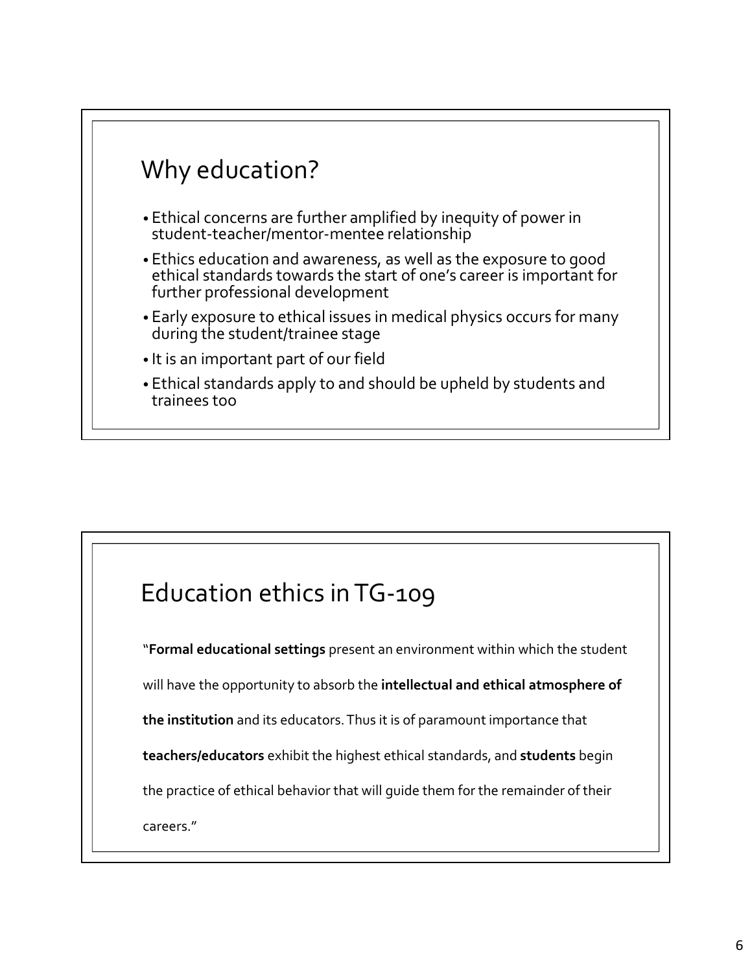

## Education ethics in TG-109

"Formal educational settings present an environment within which the student

will have the opportunity to absorb the intellectual and ethical atmosphere of

the institution and its educators. Thus it is of paramount importance that

teachers/educators exhibit the highest ethical standards, and students begin

the practice of ethical behavior that will guide them for the remainder of their

careers."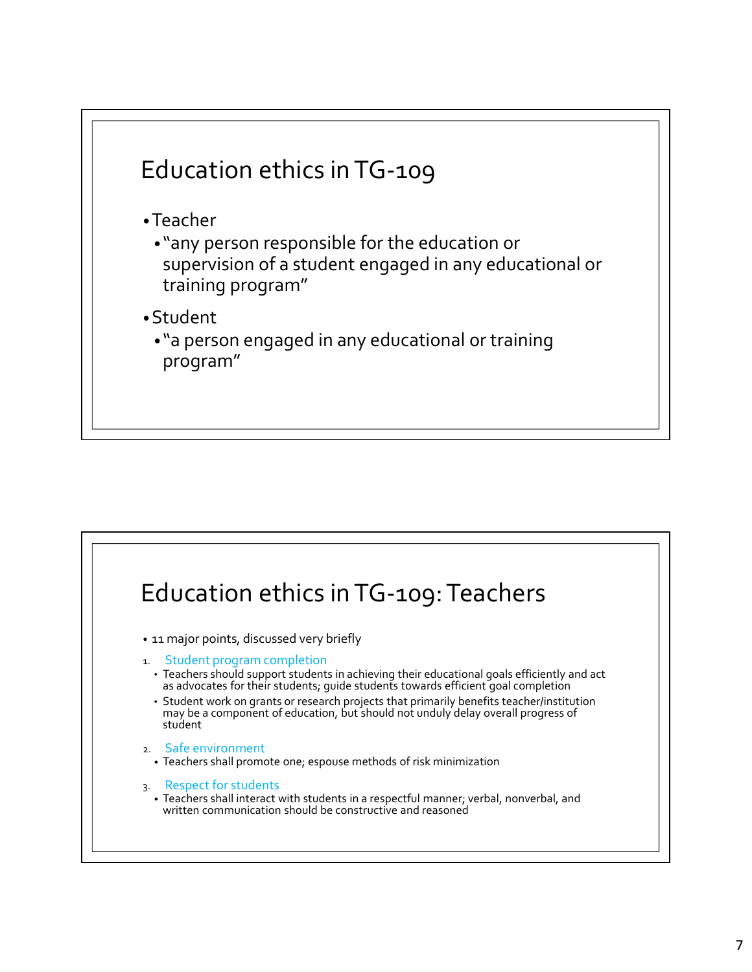

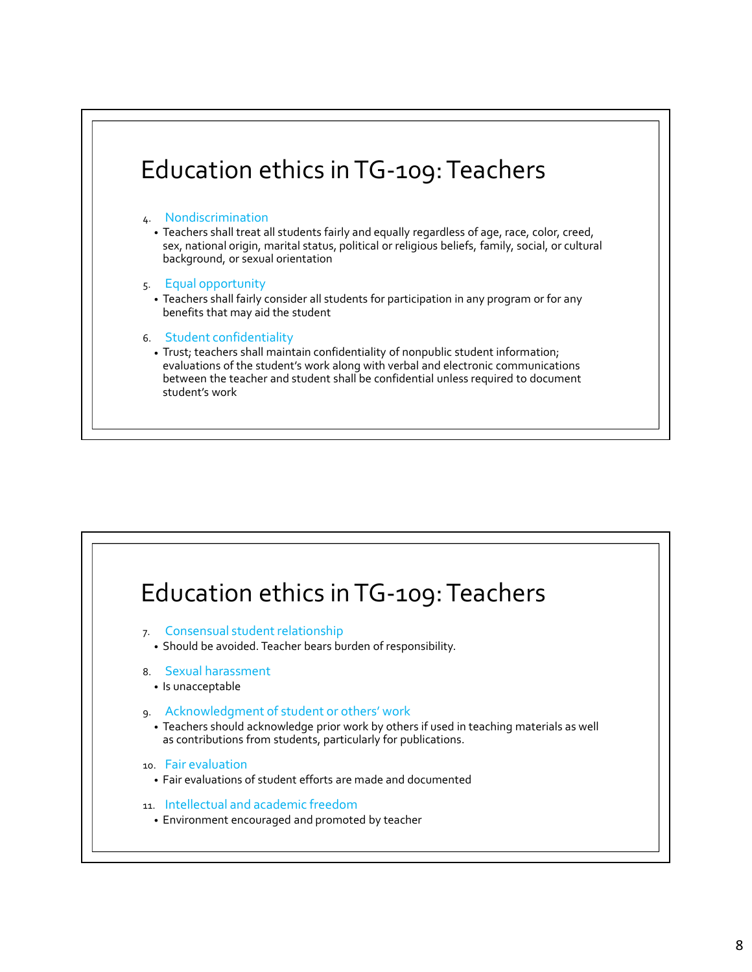

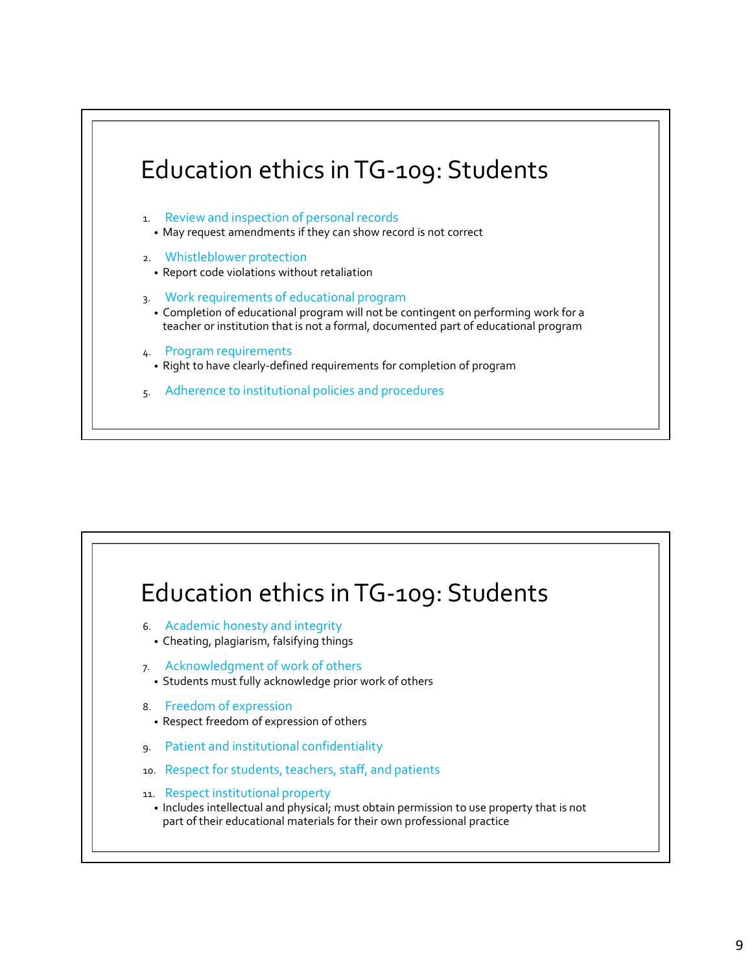

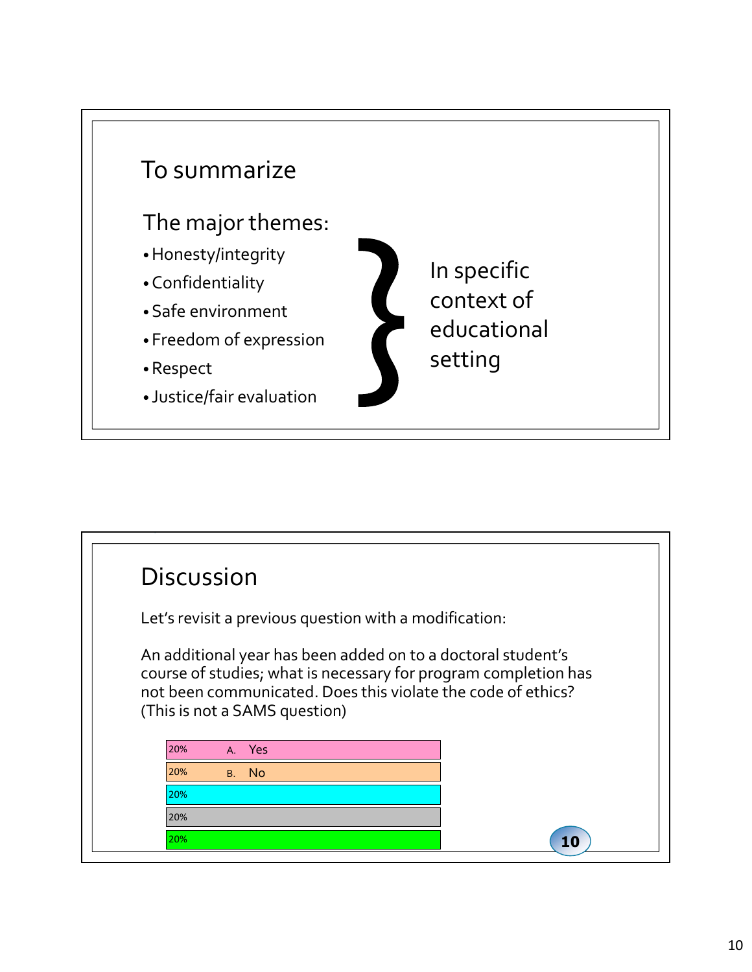

| <b>Discussion</b> |                                                                                                                                 |  |
|-------------------|---------------------------------------------------------------------------------------------------------------------------------|--|
|                   | Let's revisit a previous question with a modification:                                                                          |  |
|                   | An additional year has been added on to a doctoral student's<br>course of studies; what is necessary for program completion has |  |
|                   | not been communicated. Does this violate the code of ethics?<br>(This is not a SAMS question)                                   |  |
| 20%               | A. Yes                                                                                                                          |  |
| 20%               | B. No                                                                                                                           |  |
| 20%               |                                                                                                                                 |  |
| 20%               |                                                                                                                                 |  |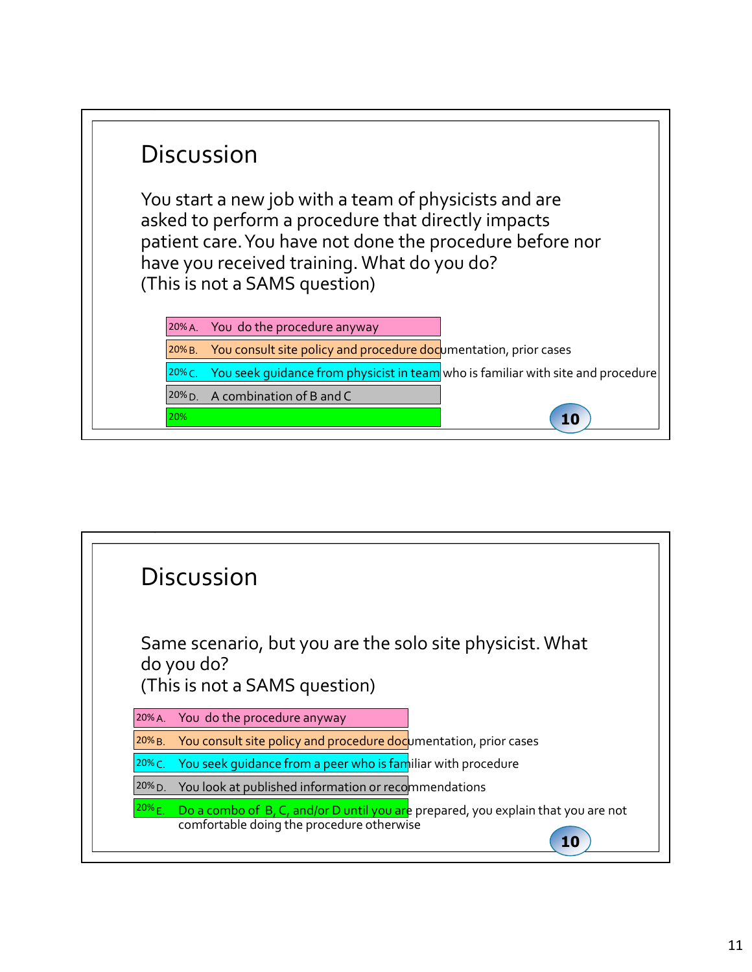| <b>Discussion</b>                                                                                                                                                                                                                                       |  |
|---------------------------------------------------------------------------------------------------------------------------------------------------------------------------------------------------------------------------------------------------------|--|
| You start a new job with a team of physicists and are<br>asked to perform a procedure that directly impacts<br>patient care. You have not done the procedure before nor<br>have you received training. What do you do?<br>(This is not a SAMS question) |  |
| You do the procedure anyway<br>$20% A$ .                                                                                                                                                                                                                |  |
| You consult site policy and procedure documentation, prior cases<br>$20\%$ B.                                                                                                                                                                           |  |
| You seek quidance from physicist in team who is familiar with site and procedure<br>$20\%$ C.                                                                                                                                                           |  |
| A combination of B and C<br>$20\%$ D.                                                                                                                                                                                                                   |  |
| 20%<br>10                                                                                                                                                                                                                                               |  |
|                                                                                                                                                                                                                                                         |  |

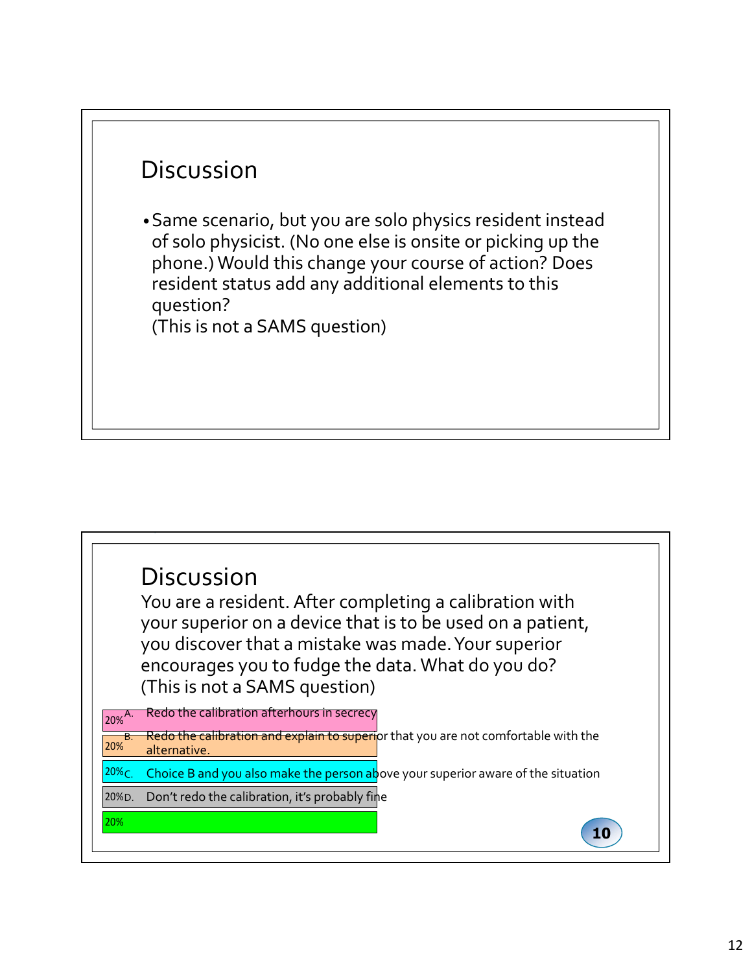## **Discussion**

•Same scenario, but you are solo physics resident instead of solo physicist. (No one else is onsite or picking up the phone.) Would this change your course of action? Does resident status add any additional elements to this question?

(This is not a SAMS question)

### You are a resident. After completing a calibration with your superior on a device that is to be used on a patient, you discover that a mistake was made. Your superior encourages you to fudge the data. What do you do? (This is not a SAMS question) 20% 20% D. Don't redo the calibration, it's probably fine <sup>20%</sup>C. Choice B and you also make the person above your superior aware of the situation **computer and the situation** 20% alternative. Alternative and the set of the set of the set of the set of the set of the set of the set of the set of the set of the set of the set of the set of the set of the set of the set of the set of the set of th 20%<sup>A.</sup> Redo the calibration afterhours in secrecy Redo the calibration and explain to superi<mark>or that you are not comfortable with the</mark> 10 **Discussion**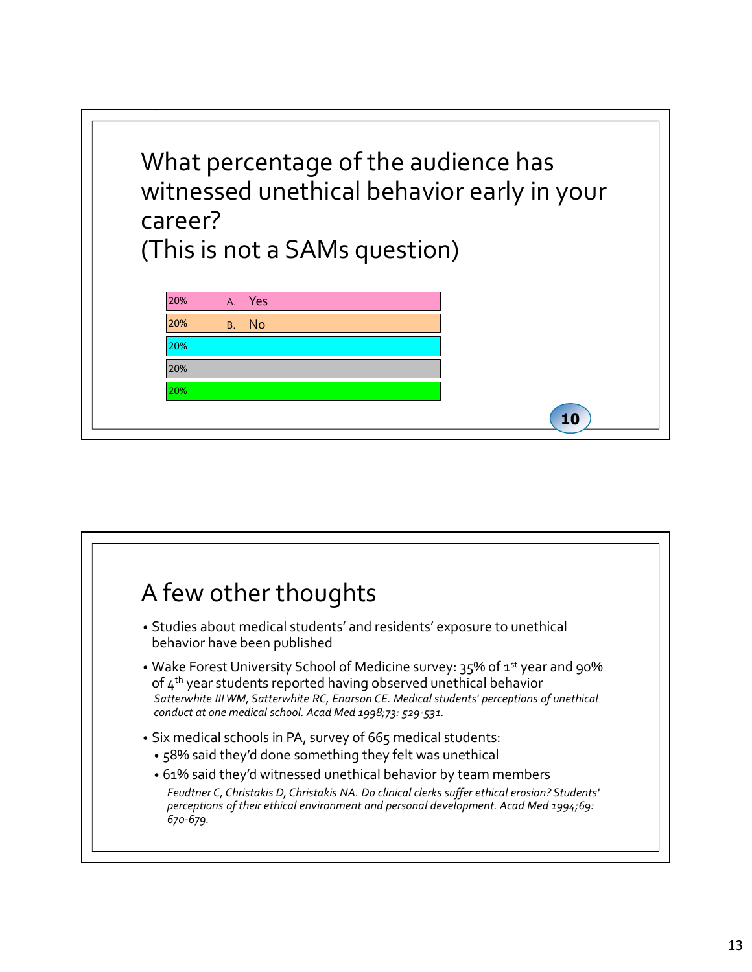